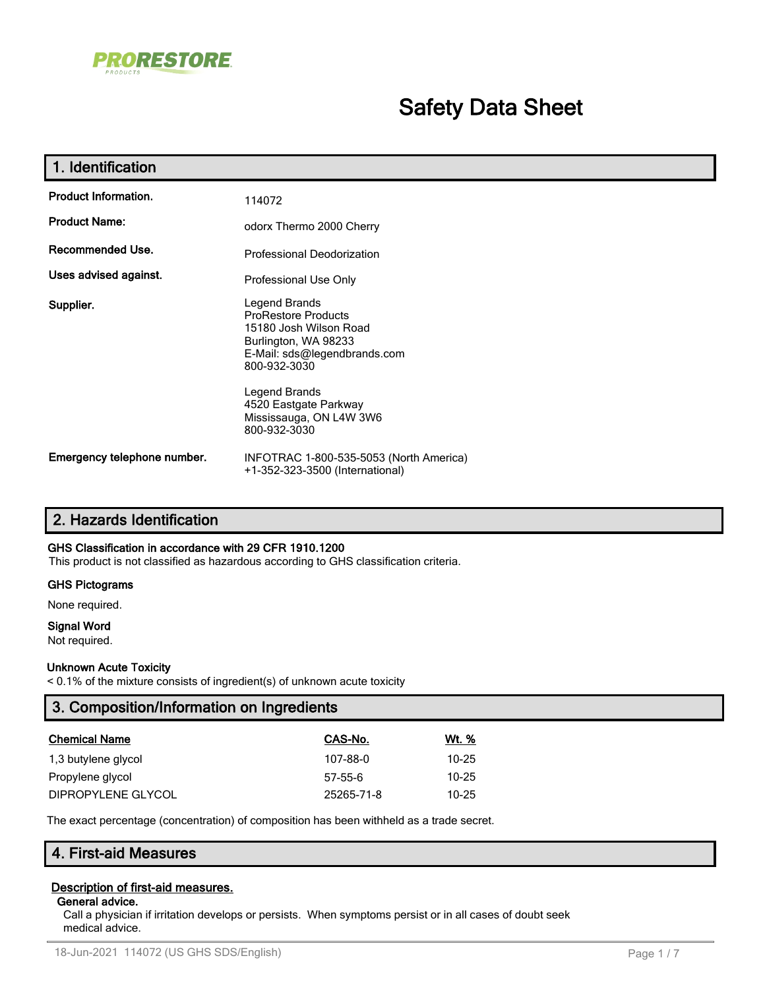

# **Safety Data Sheet**

| 1. Identification           |                                                                                                                                                                                                                                    |
|-----------------------------|------------------------------------------------------------------------------------------------------------------------------------------------------------------------------------------------------------------------------------|
| <b>Product Information.</b> | 114072                                                                                                                                                                                                                             |
| <b>Product Name:</b>        | odorx Thermo 2000 Cherry                                                                                                                                                                                                           |
| Recommended Use.            | <b>Professional Deodorization</b>                                                                                                                                                                                                  |
| Uses advised against.       | Professional Use Only                                                                                                                                                                                                              |
| Supplier.                   | Legend Brands<br><b>ProRestore Products</b><br>15180 Josh Wilson Road<br>Burlington, WA 98233<br>E-Mail: sds@legendbrands.com<br>800-932-3030<br>Legend Brands<br>4520 Eastgate Parkway<br>Mississauga, ON L4W 3W6<br>800-932-3030 |
| Emergency telephone number. | INFOTRAC 1-800-535-5053 (North America)<br>+1-352-323-3500 (International)                                                                                                                                                         |

# **2. Hazards Identification**

#### **GHS Classification in accordance with 29 CFR 1910.1200**

This product is not classified as hazardous according to GHS classification criteria.

#### **GHS Pictograms**

None required.

#### **Signal Word**

Not required.

#### **Unknown Acute Toxicity**

< 0.1% of the mixture consists of ingredient(s) of unknown acute toxicity

| 3. Composition/Information on Ingredients |            |              |  |
|-------------------------------------------|------------|--------------|--|
| <b>Chemical Name</b>                      | CAS-No.    | <u>Wt. %</u> |  |
| 1,3 butylene glycol                       | 107-88-0   | 10-25        |  |
| Propylene glycol                          | $57-55-6$  | 10-25        |  |
| DIPROPYLENE GLYCOL                        | 25265-71-8 | 10-25        |  |

The exact percentage (concentration) of composition has been withheld as a trade secret.

# **4. First-aid Measures**

#### **Description of first-aid measures.**

#### **General advice.**

Call a physician if irritation develops or persists. When symptoms persist or in all cases of doubt seek medical advice.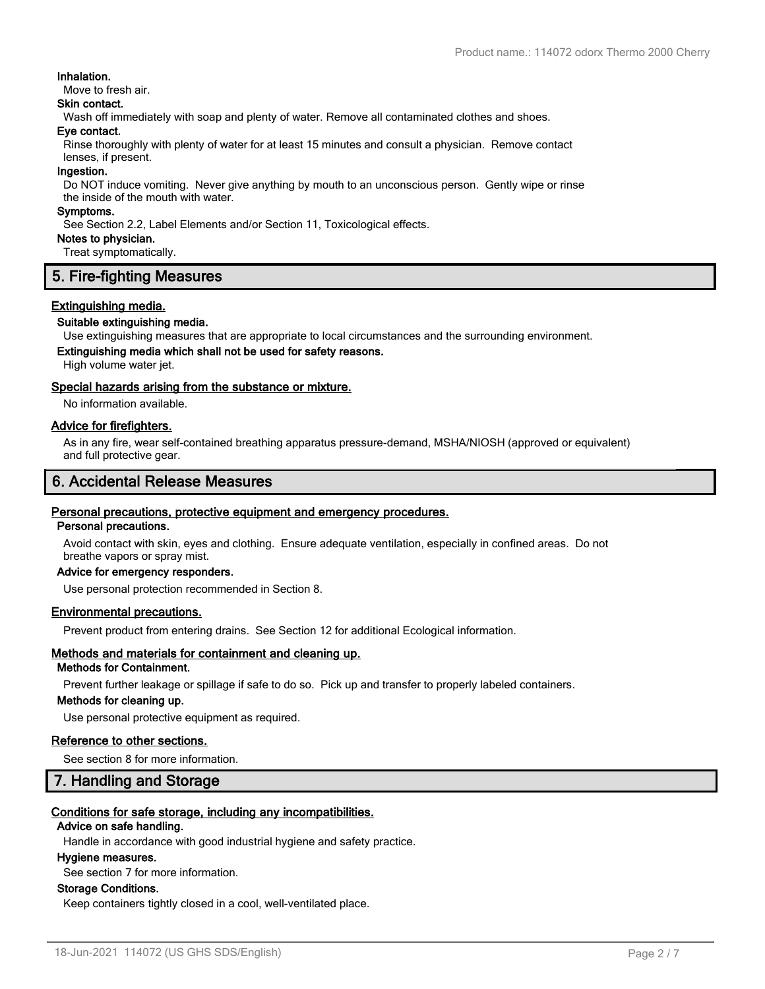#### **Inhalation.**

Move to fresh air.

#### **Skin contact.**

Wash off immediately with soap and plenty of water. Remove all contaminated clothes and shoes.

#### **Eye contact.**

Rinse thoroughly with plenty of water for at least 15 minutes and consult a physician. Remove contact lenses, if present.

#### **Ingestion.**

Do NOT induce vomiting. Never give anything by mouth to an unconscious person. Gently wipe or rinse the inside of the mouth with water.

#### **Symptoms.**

See Section 2.2, Label Elements and/or Section 11, Toxicological effects.

**Notes to physician.**

Treat symptomatically.

# **5. Fire-fighting Measures**

#### **Extinguishing media.**

#### **Suitable extinguishing media.**

Use extinguishing measures that are appropriate to local circumstances and the surrounding environment.

# **Extinguishing media which shall not be used for safety reasons.**

High volume water jet.

#### **Special hazards arising from the substance or mixture.**

No information available.

#### **Advice for firefighters.**

As in any fire, wear self-contained breathing apparatus pressure-demand, MSHA/NIOSH (approved or equivalent) and full protective gear.

# **6. Accidental Release Measures**

#### **Personal precautions, protective equipment and emergency procedures.**

#### **Personal precautions.**

Avoid contact with skin, eyes and clothing. Ensure adequate ventilation, especially in confined areas. Do not breathe vapors or spray mist.

## **Advice for emergency responders.**

Use personal protection recommended in Section 8.

#### **Environmental precautions.**

Prevent product from entering drains. See Section 12 for additional Ecological information.

# **Methods and materials for containment and cleaning up.**

# **Methods for Containment.**

Prevent further leakage or spillage if safe to do so. Pick up and transfer to properly labeled containers.

#### **Methods for cleaning up.**

Use personal protective equipment as required.

#### **Reference to other sections.**

See section 8 for more information.

#### **7. Handling and Storage**

#### **Conditions for safe storage, including any incompatibilities.**

#### **Advice on safe handling.**

Handle in accordance with good industrial hygiene and safety practice.

#### **Hygiene measures.**

See section 7 for more information.

#### **Storage Conditions.**

Keep containers tightly closed in a cool, well-ventilated place.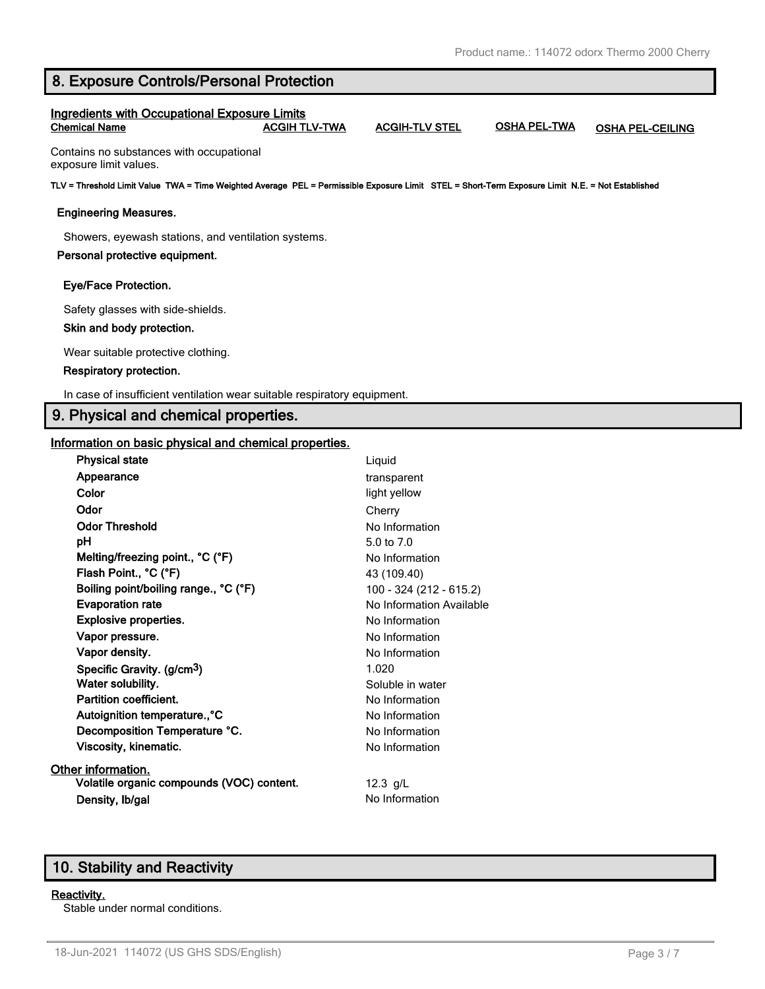# **8. Exposure Controls/Personal Protection**

#### **Ingredients with Occupational Exposure Limits Chemical Name ACGIH TLV-TWA ACGIH-TLV STEL OSHA PEL-TWA OSHA PEL-CEILING**

Contains no substances with occupational exposure limit values.

**TLV = Threshold Limit Value TWA = Time Weighted Average PEL = Permissible Exposure Limit STEL = Short-Term Exposure Limit N.E. = Not Established**

#### **Engineering Measures.**

Showers, eyewash stations, and ventilation systems.

#### **Personal protective equipment.**

#### **Eye/Face Protection.**

Safety glasses with side-shields.

#### **Skin and body protection.**

Wear suitable protective clothing.

#### **Respiratory protection.**

In case of insufficient ventilation wear suitable respiratory equipment.

# **9. Physical and chemical properties.**

#### **Information on basic physical and chemical properties.**

| <b>Physical state</b>                     | Liquid                   |
|-------------------------------------------|--------------------------|
| Appearance                                | transparent              |
| Color                                     | light yellow             |
| Odor                                      | Cherry                   |
| <b>Odor Threshold</b>                     | No Information           |
| pН                                        | 5.0 to $7.0$             |
| Melting/freezing point., °C (°F)          | No Information           |
| Flash Point., °C (°F)                     | 43 (109.40)              |
| Boiling point/boiling range., °C (°F)     | 100 - 324 (212 - 615.2)  |
| <b>Evaporation rate</b>                   | No Information Available |
| <b>Explosive properties.</b>              | No Information           |
| Vapor pressure.                           | No Information           |
| Vapor density.                            | No Information           |
| Specific Gravity. (g/cm <sup>3</sup> )    | 1.020                    |
| Water solubility.                         | Soluble in water         |
| Partition coefficient.                    | No Information           |
| Autoignition temperature., °C             | No Information           |
| Decomposition Temperature °C.             | No Information           |
| <b>Viscosity, kinematic.</b>              | No Information           |
| Other information.                        |                          |
| Volatile organic compounds (VOC) content. | 12.3 $g/L$               |
| Density, Ib/gal                           | No Information           |

# **10. Stability and Reactivity**

#### **Reactivity.**

Stable under normal conditions.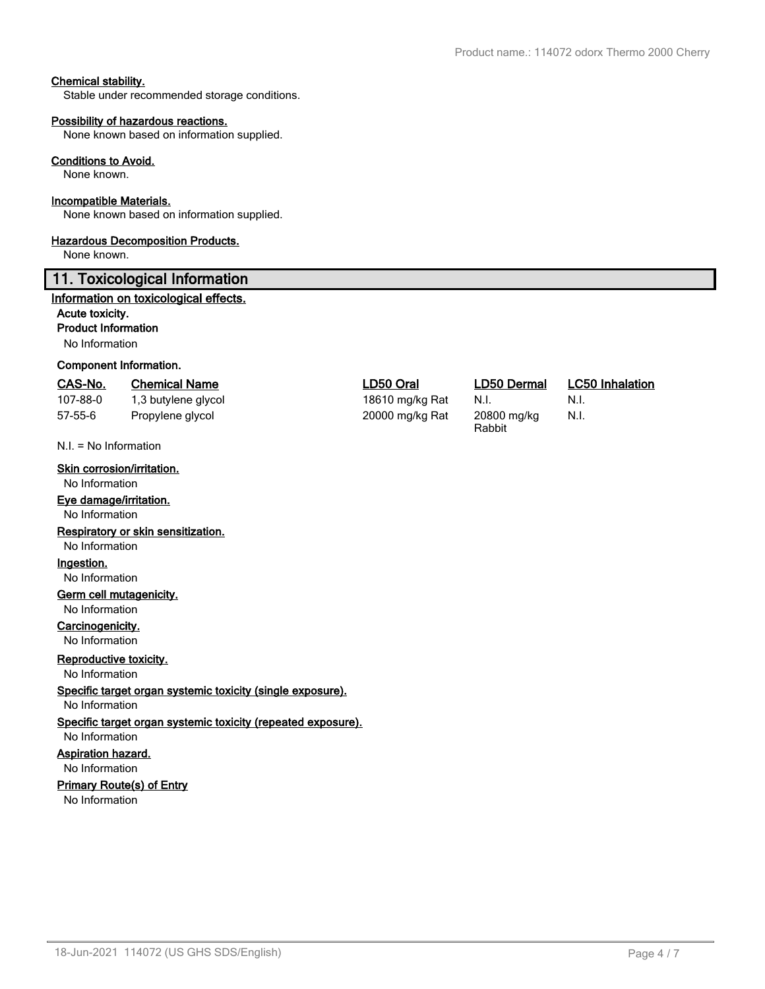#### **Chemical stability.**

Stable under recommended storage conditions.

#### **Possibility of hazardous reactions.**

None known based on information supplied.

#### **Conditions to Avoid.**

None known.

#### **Incompatible Materials.**

None known based on information supplied.

#### **Hazardous Decomposition Products.**

None known.

#### **11. Toxicological Information**

#### **Information on toxicological effects.**

#### **Acute toxicity.**

**Product Information**

No Information

#### **Component Information.**

#### **CAS-No. Chemical Name LD50 Oral LD50 Dermal LC50 Inhalation**

| 107-88-0 | 1,3 butylene |
|----------|--------------|
| 57-55-6  | Propylene gl |

N.I. = No Information

#### **Skin corrosion/irritation.**

No Information

#### **Eye damage/irritation.**

No Information

**Respiratory or skin sensitization.**

#### No Information

**Ingestion.**

No Information

# **Germ cell mutagenicity.**

No Information

# **Carcinogenicity.**

No Information

# **Reproductive toxicity.**

No Information

**Specific target organ systemic toxicity (single exposure).**

No Information

# **Specific target organ systemic toxicity (repeated exposure).**

#### No Information **Aspiration hazard.**

No Information

# **Primary Route(s) of Entry**

No Information

glycol 18610 mg/kg Rat N.I. N.I. glycol and the collection of 20000 mg/kg Rat 20800 mg/kg

Rabbit

N.I.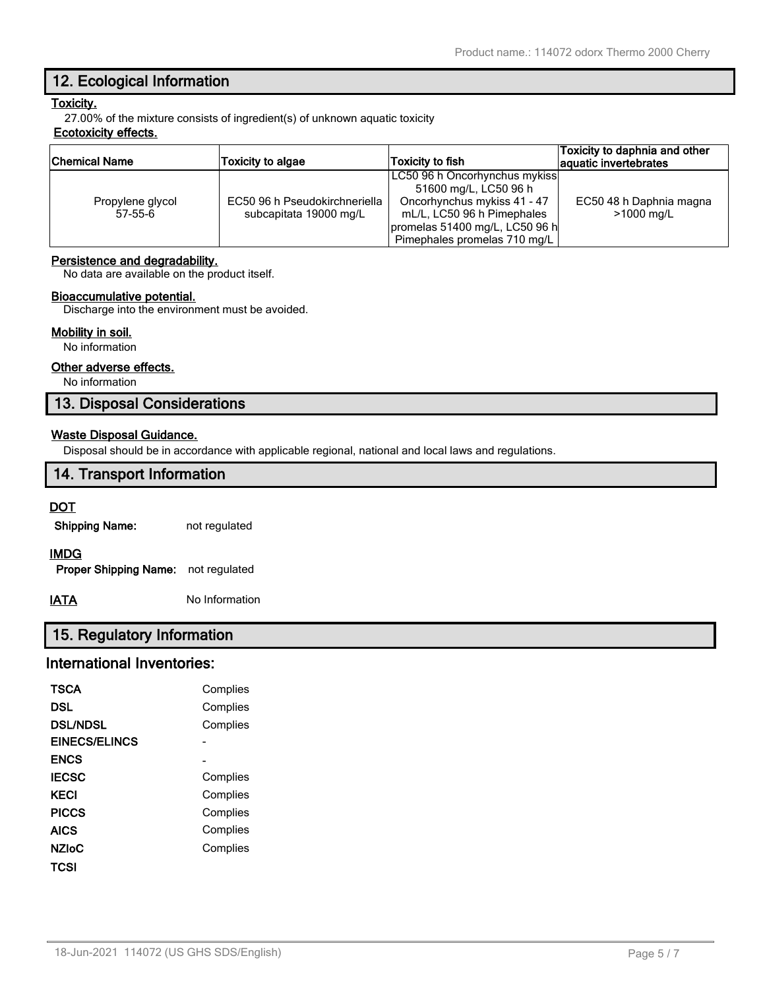# **12. Ecological Information**

# **Toxicity.**

27.00% of the mixture consists of ingredient(s) of unknown aquatic toxicity

# **Ecotoxicity effects.**

| Chemical Name    | <b>Toxicity to algae</b>      | Toxicity to fish               | Toxicity to daphnia and other<br>aquatic invertebrates |
|------------------|-------------------------------|--------------------------------|--------------------------------------------------------|
|                  |                               | LC50 96 h Oncorhynchus mykiss  |                                                        |
|                  |                               | 51600 mg/L, LC50 96 h          |                                                        |
| Propylene glycol | EC50 96 h Pseudokirchneriella | Oncorhynchus mykiss 41 - 47    | EC50 48 h Daphnia magna                                |
| $57-55-6$        | subcapitata 19000 mg/L        | mL/L, LC50 96 h Pimephales     | >1000 mg/L                                             |
|                  |                               | promelas 51400 mg/L, LC50 96 h |                                                        |
|                  |                               | Pimephales promelas 710 mg/L   |                                                        |

#### **Persistence and degradability.**

No data are available on the product itself.

#### **Bioaccumulative potential.**

Discharge into the environment must be avoided.

#### **Mobility in soil.**

No information

#### **Other adverse effects.**

No information

# **13. Disposal Considerations**

#### **Waste Disposal Guidance.**

Disposal should be in accordance with applicable regional, national and local laws and regulations.

# **14. Transport Information**

#### **DOT**

**Shipping Name:** not regulated

#### **IMDG**

**Proper Shipping Name:** not regulated

**IATA** No Information

# **15. Regulatory Information**

# **International Inventories:**

| TSCA                 | Complies |
|----------------------|----------|
| DSL                  | Complies |
| <b>DSL/NDSL</b>      | Complies |
| <b>EINECS/ELINCS</b> |          |
| <b>ENCS</b>          |          |
| <b>IECSC</b>         | Complies |
| <b>KECI</b>          | Complies |
| <b>PICCS</b>         | Complies |
| AICS                 | Complies |
| <b>NZIoC</b>         | Complies |
| TCSI                 |          |
|                      |          |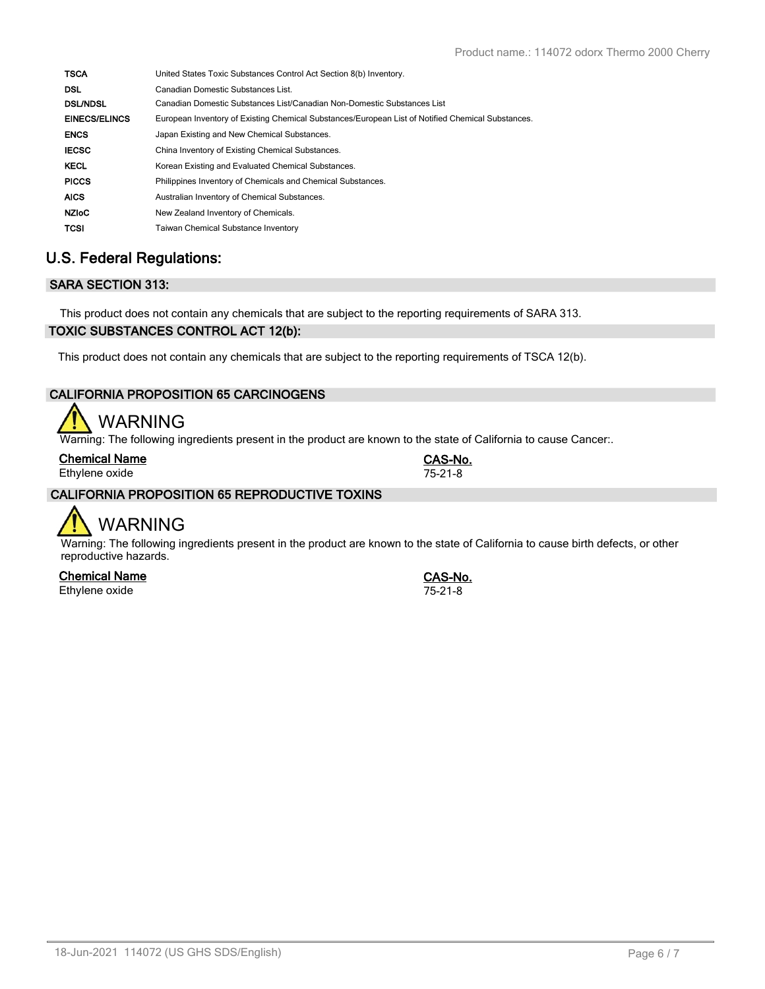| United States Toxic Substances Control Act Section 8(b) Inventory.                                |
|---------------------------------------------------------------------------------------------------|
| Canadian Domestic Substances List.                                                                |
| Canadian Domestic Substances List/Canadian Non-Domestic Substances List                           |
| European Inventory of Existing Chemical Substances/European List of Notified Chemical Substances. |
| Japan Existing and New Chemical Substances.                                                       |
| China Inventory of Existing Chemical Substances.                                                  |
| Korean Existing and Evaluated Chemical Substances.                                                |
| Philippines Inventory of Chemicals and Chemical Substances.                                       |
| Australian Inventory of Chemical Substances.                                                      |
| New Zealand Inventory of Chemicals.                                                               |
| <b>Taiwan Chemical Substance Inventory</b>                                                        |
|                                                                                                   |

# **U.S. Federal Regulations:**

# **SARA SECTION 313:**

This product does not contain any chemicals that are subject to the reporting requirements of SARA 313.

# **TOXIC SUBSTANCES CONTROL ACT 12(b):**

This product does not contain any chemicals that are subject to the reporting requirements of TSCA 12(b).

# **CALIFORNIA PROPOSITION 65 CARCINOGENS**

# WARNING

Warning: The following ingredients present in the product are known to the state of California to cause Cancer:.

| <b>Chemical Name</b> | CAS-No.       |
|----------------------|---------------|
| Ethylene oxide       | $75 - 21 - 8$ |

# **CALIFORNIA PROPOSITION 65 REPRODUCTIVE TOXINS**



Warning: The following ingredients present in the product are known to the state of California to cause birth defects, or other reproductive hazards.

**Chemical Name CAS-No.** Ethylene oxide 75-21-8